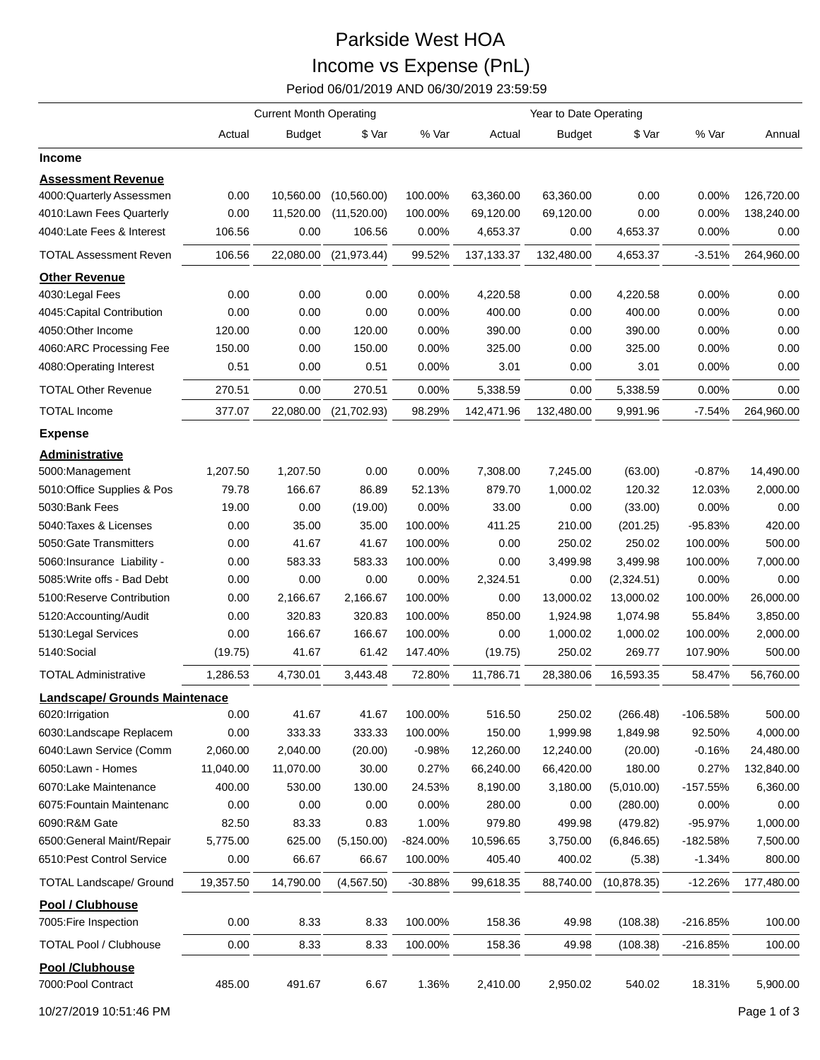## Parkside West HOA Income vs Expense (PnL)

Period 06/01/2019 AND 06/30/2019 23:59:59

|                                           | <b>Current Month Operating</b> |               |              |           | Year to Date Operating |               |              |            |            |
|-------------------------------------------|--------------------------------|---------------|--------------|-----------|------------------------|---------------|--------------|------------|------------|
|                                           | Actual                         | <b>Budget</b> | \$ Var       | % Var     | Actual                 | <b>Budget</b> | \$ Var       | % Var      | Annual     |
| Income                                    |                                |               |              |           |                        |               |              |            |            |
| <b>Assessment Revenue</b>                 |                                |               |              |           |                        |               |              |            |            |
| 4000:Quarterly Assessmen                  | 0.00                           | 10,560.00     | (10, 560.00) | 100.00%   | 63,360.00              | 63,360.00     | 0.00         | 0.00%      | 126,720.00 |
| 4010:Lawn Fees Quarterly                  | 0.00                           | 11,520.00     | (11,520.00)  | 100.00%   | 69,120.00              | 69,120.00     | 0.00         | 0.00%      | 138,240.00 |
| 4040:Late Fees & Interest                 | 106.56                         | 0.00          | 106.56       | 0.00%     | 4,653.37               | 0.00          | 4,653.37     | 0.00%      | 0.00       |
| <b>TOTAL Assessment Reven</b>             | 106.56                         | 22,080.00     | (21, 973.44) | 99.52%    | 137, 133. 37           | 132,480.00    | 4,653.37     | $-3.51%$   | 264,960.00 |
| <b>Other Revenue</b>                      |                                |               |              |           |                        |               |              |            |            |
| 4030: Legal Fees                          | 0.00                           | 0.00          | 0.00         | 0.00%     | 4,220.58               | 0.00          | 4,220.58     | 0.00%      | 0.00       |
| 4045: Capital Contribution                | 0.00                           | 0.00          | 0.00         | 0.00%     | 400.00                 | 0.00          | 400.00       | 0.00%      | 0.00       |
| 4050:Other Income                         | 120.00                         | 0.00          | 120.00       | 0.00%     | 390.00                 | 0.00          | 390.00       | 0.00%      | 0.00       |
| 4060:ARC Processing Fee                   | 150.00                         | 0.00          | 150.00       | 0.00%     | 325.00                 | 0.00          | 325.00       | 0.00%      | 0.00       |
| 4080:Operating Interest                   | 0.51                           | 0.00          | 0.51         | 0.00%     | 3.01                   | 0.00          | 3.01         | 0.00%      | 0.00       |
| <b>TOTAL Other Revenue</b>                | 270.51                         | 0.00          | 270.51       | 0.00%     | 5,338.59               | 0.00          | 5,338.59     | 0.00%      | 0.00       |
| <b>TOTAL Income</b>                       | 377.07                         | 22,080.00     | (21,702.93)  | 98.29%    | 142,471.96             | 132,480.00    | 9,991.96     | $-7.54%$   | 264,960.00 |
| <b>Expense</b>                            |                                |               |              |           |                        |               |              |            |            |
| Administrative                            |                                |               |              |           |                        |               |              |            |            |
| 5000:Management                           | 1,207.50                       | 1,207.50      | 0.00         | 0.00%     | 7,308.00               | 7,245.00      | (63.00)      | $-0.87%$   | 14,490.00  |
| 5010:Office Supplies & Pos                | 79.78                          | 166.67        | 86.89        | 52.13%    | 879.70                 | 1,000.02      | 120.32       | 12.03%     | 2,000.00   |
| 5030:Bank Fees                            | 19.00                          | 0.00          | (19.00)      | $0.00\%$  | 33.00                  | 0.00          | (33.00)      | 0.00%      | 0.00       |
| 5040: Taxes & Licenses                    | 0.00                           | 35.00         | 35.00        | 100.00%   | 411.25                 | 210.00        | (201.25)     | -95.83%    | 420.00     |
| 5050: Gate Transmitters                   | 0.00                           | 41.67         | 41.67        | 100.00%   | 0.00                   | 250.02        | 250.02       | 100.00%    | 500.00     |
| 5060:Insurance Liability -                | 0.00                           | 583.33        | 583.33       | 100.00%   | 0.00                   | 3,499.98      | 3,499.98     | 100.00%    | 7,000.00   |
| 5085: Write offs - Bad Debt               | 0.00                           | 0.00          | 0.00         | 0.00%     | 2,324.51               | 0.00          | (2,324.51)   | 0.00%      | 0.00       |
| 5100: Reserve Contribution                | 0.00                           | 2,166.67      | 2,166.67     | 100.00%   | 0.00                   | 13,000.02     | 13,000.02    | 100.00%    | 26,000.00  |
| 5120:Accounting/Audit                     | 0.00                           | 320.83        | 320.83       | 100.00%   | 850.00                 | 1,924.98      | 1,074.98     | 55.84%     | 3,850.00   |
| 5130: Legal Services                      | 0.00                           | 166.67        | 166.67       | 100.00%   | 0.00                   | 1,000.02      | 1,000.02     | 100.00%    | 2,000.00   |
| 5140:Social                               | (19.75)                        | 41.67         | 61.42        | 147.40%   | (19.75)                | 250.02        | 269.77       | 107.90%    | 500.00     |
| <b>TOTAL Administrative</b>               | 1,286.53                       | 4,730.01      | 3,443.48     | 72.80%    | 11,786.71              | 28,380.06     | 16,593.35    | 58.47%     | 56,760.00  |
| Landscape/ Grounds Maintenace             |                                |               |              |           |                        |               |              |            |            |
| 6020: Irrigation                          | 0.00                           | 41.67         | 41.67        | 100.00%   | 516.50                 | 250.02        | (266.48)     | -106.58%   | 500.00     |
| 6030:Landscape Replacem                   | 0.00                           | 333.33        | 333.33       | 100.00%   | 150.00                 | 1,999.98      | 1,849.98     | 92.50%     | 4,000.00   |
| 6040:Lawn Service (Comm                   | 2,060.00                       | 2,040.00      | (20.00)      | $-0.98%$  | 12,260.00              | 12,240.00     | (20.00)      | $-0.16%$   | 24,480.00  |
| 6050:Lawn - Homes                         | 11,040.00                      | 11,070.00     | 30.00        | 0.27%     | 66,240.00              | 66,420.00     | 180.00       | 0.27%      | 132,840.00 |
| 6070:Lake Maintenance                     | 400.00                         | 530.00        | 130.00       | 24.53%    | 8,190.00               | 3,180.00      | (5,010.00)   | $-157.55%$ | 6,360.00   |
| 6075: Fountain Maintenanc                 | 0.00                           | 0.00          | 0.00         | 0.00%     | 280.00                 | 0.00          | (280.00)     | 0.00%      | 0.00       |
| 6090:R&M Gate                             | 82.50                          | 83.33         | 0.83         | 1.00%     | 979.80                 | 499.98        | (479.82)     | $-95.97%$  | 1,000.00   |
| 6500: General Maint/Repair                | 5,775.00                       | 625.00        | (5, 150.00)  | -824.00%  | 10,596.65              | 3,750.00      | (6,846.65)   | $-182.58%$ | 7,500.00   |
| 6510: Pest Control Service                | 0.00                           | 66.67         | 66.67        | 100.00%   | 405.40                 | 400.02        | (5.38)       | $-1.34%$   | 800.00     |
| <b>TOTAL Landscape/ Ground</b>            | 19,357.50                      | 14,790.00     | (4,567.50)   | $-30.88%$ | 99,618.35              | 88,740.00     | (10, 878.35) | $-12.26%$  | 177,480.00 |
| Pool / Clubhouse<br>7005: Fire Inspection | 0.00                           | 8.33          | 8.33         | 100.00%   | 158.36                 | 49.98         | (108.38)     | -216.85%   | 100.00     |
| <b>TOTAL Pool / Clubhouse</b>             | 0.00                           | 8.33          | 8.33         | 100.00%   | 158.36                 | 49.98         | (108.38)     | $-216.85%$ | 100.00     |
| Pool /Clubhouse<br>7000: Pool Contract    | 485.00                         | 491.67        | 6.67         | 1.36%     | 2,410.00               | 2,950.02      | 540.02       | 18.31%     | 5,900.00   |

10/27/2019 10:51:46 PM Page 1 of 3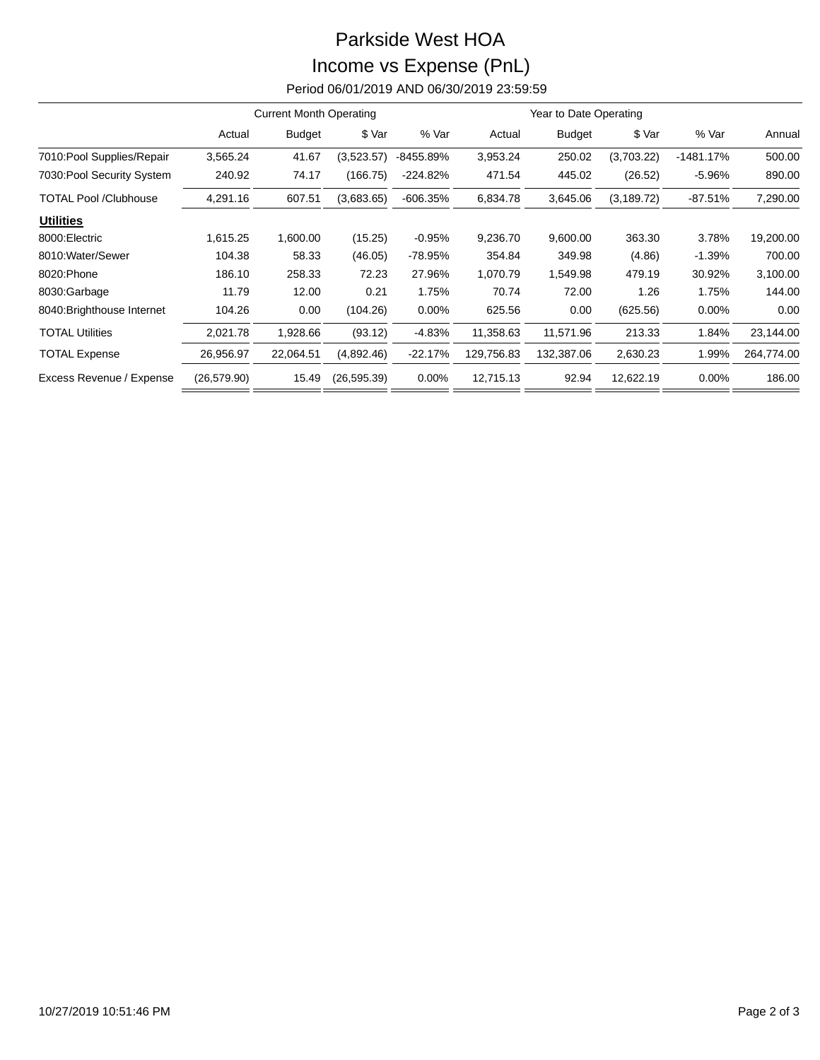## Parkside West HOA Income vs Expense (PnL)

Period 06/01/2019 AND 06/30/2019 23:59:59

|                              | <b>Current Month Operating</b> |               |              |            | Year to Date Operating |               |             |             |            |
|------------------------------|--------------------------------|---------------|--------------|------------|------------------------|---------------|-------------|-------------|------------|
|                              | Actual                         | <b>Budget</b> | \$ Var       | % Var      | Actual                 | <b>Budget</b> | \$ Var      | % Var       | Annual     |
| 7010: Pool Supplies/Repair   | 3,565.24                       | 41.67         | (3,523.57)   | -8455.89%  | 3,953.24               | 250.02        | (3,703.22)  | $-1481.17%$ | 500.00     |
| 7030: Pool Security System   | 240.92                         | 74.17         | (166.75)     | $-224.82%$ | 471.54                 | 445.02        | (26.52)     | $-5.96%$    | 890.00     |
| <b>TOTAL Pool /Clubhouse</b> | 4,291.16                       | 607.51        | (3,683.65)   | $-606.35%$ | 6,834.78               | 3,645.06      | (3, 189.72) | $-87.51%$   | 7,290.00   |
| <b>Utilities</b>             |                                |               |              |            |                        |               |             |             |            |
| 8000: Electric               | 1,615.25                       | 1,600.00      | (15.25)      | $-0.95%$   | 9,236.70               | 9,600.00      | 363.30      | 3.78%       | 19,200.00  |
| 8010: Water/Sewer            | 104.38                         | 58.33         | (46.05)      | -78.95%    | 354.84                 | 349.98        | (4.86)      | $-1.39%$    | 700.00     |
| 8020: Phone                  | 186.10                         | 258.33        | 72.23        | 27.96%     | 1,070.79               | 1,549.98      | 479.19      | 30.92%      | 3,100.00   |
| 8030:Garbage                 | 11.79                          | 12.00         | 0.21         | 1.75%      | 70.74                  | 72.00         | 1.26        | 1.75%       | 144.00     |
| 8040: Brighthouse Internet   | 104.26                         | 0.00          | (104.26)     | $0.00\%$   | 625.56                 | 0.00          | (625.56)    | $0.00\%$    | 0.00       |
| <b>TOTAL Utilities</b>       | 2,021.78                       | 1,928.66      | (93.12)      | $-4.83%$   | 11,358.63              | 11,571.96     | 213.33      | 1.84%       | 23,144.00  |
| <b>TOTAL Expense</b>         | 26,956.97                      | 22,064.51     | (4,892.46)   | $-22.17%$  | 129,756.83             | 132,387.06    | 2,630.23    | 1.99%       | 264,774.00 |
| Excess Revenue / Expense     | (26, 579.90)                   | 15.49         | (26, 595.39) | 0.00%      | 12,715.13              | 92.94         | 12,622.19   | 0.00%       | 186.00     |